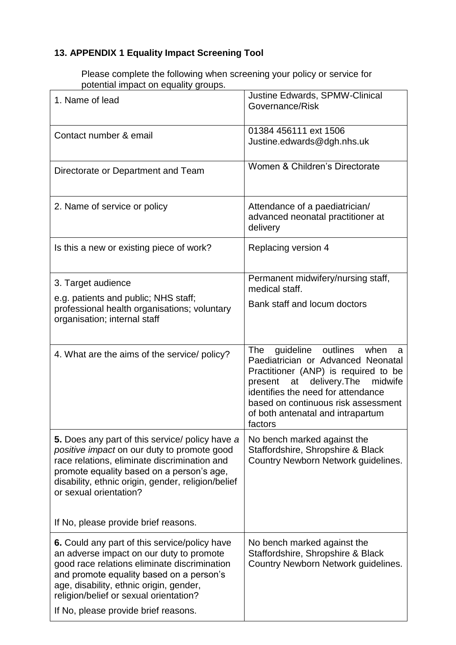## **13. APPENDIX 1 Equality Impact Screening Tool**

Please complete the following when screening your policy or service for potential impact on equality groups.

| 1. Name of lead                                                                                                                                                                                                                                                             | Justine Edwards, SPMW-Clinical<br>Governance/Risk                                                                                                                                                                                                                                                     |
|-----------------------------------------------------------------------------------------------------------------------------------------------------------------------------------------------------------------------------------------------------------------------------|-------------------------------------------------------------------------------------------------------------------------------------------------------------------------------------------------------------------------------------------------------------------------------------------------------|
| Contact number & email                                                                                                                                                                                                                                                      | 01384 456111 ext 1506<br>Justine.edwards@dgh.nhs.uk                                                                                                                                                                                                                                                   |
| Directorate or Department and Team                                                                                                                                                                                                                                          | Women & Children's Directorate                                                                                                                                                                                                                                                                        |
| 2. Name of service or policy                                                                                                                                                                                                                                                | Attendance of a paediatrician/<br>advanced neonatal practitioner at<br>delivery                                                                                                                                                                                                                       |
| Is this a new or existing piece of work?                                                                                                                                                                                                                                    | Replacing version 4                                                                                                                                                                                                                                                                                   |
| 3. Target audience                                                                                                                                                                                                                                                          | Permanent midwifery/nursing staff,<br>medical staff.                                                                                                                                                                                                                                                  |
| e.g. patients and public; NHS staff;<br>professional health organisations; voluntary<br>organisation; internal staff                                                                                                                                                        | Bank staff and locum doctors                                                                                                                                                                                                                                                                          |
| 4. What are the aims of the service/ policy?                                                                                                                                                                                                                                | <b>The</b><br>guideline<br>outlines<br>when<br>a<br>Paediatrician or Advanced Neonatal<br>Practitioner (ANP) is required to be<br>at delivery. The<br>present<br>midwife<br>identifies the need for attendance<br>based on continuous risk assessment<br>of both antenatal and intrapartum<br>factors |
| 5. Does any part of this service/ policy have a<br>positive impact on our duty to promote good<br>race relations, eliminate discrimination and<br>promote equality based on a person's age,<br>disability, ethnic origin, gender, religion/belief<br>or sexual orientation? | No bench marked against the<br>Staffordshire, Shropshire & Black<br>Country Newborn Network guidelines.                                                                                                                                                                                               |
| If No, please provide brief reasons.                                                                                                                                                                                                                                        |                                                                                                                                                                                                                                                                                                       |
| 6. Could any part of this service/policy have<br>an adverse impact on our duty to promote<br>good race relations eliminate discrimination<br>and promote equality based on a person's<br>age, disability, ethnic origin, gender,<br>religion/belief or sexual orientation?  | No bench marked against the<br>Staffordshire, Shropshire & Black<br>Country Newborn Network guidelines.                                                                                                                                                                                               |
| If No, please provide brief reasons.                                                                                                                                                                                                                                        |                                                                                                                                                                                                                                                                                                       |